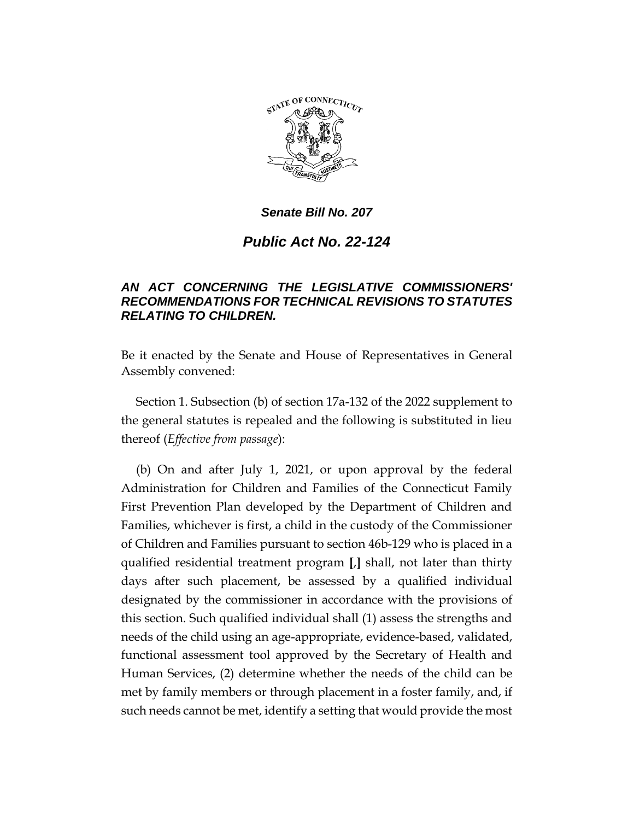

## *Senate Bill No. 207*

## *Public Act No. 22-124*

## *AN ACT CONCERNING THE LEGISLATIVE COMMISSIONERS' RECOMMENDATIONS FOR TECHNICAL REVISIONS TO STATUTES RELATING TO CHILDREN.*

Be it enacted by the Senate and House of Representatives in General Assembly convened:

Section 1. Subsection (b) of section 17a-132 of the 2022 supplement to the general statutes is repealed and the following is substituted in lieu thereof (*Effective from passage*):

(b) On and after July 1, 2021, or upon approval by the federal Administration for Children and Families of the Connecticut Family First Prevention Plan developed by the Department of Children and Families, whichever is first, a child in the custody of the Commissioner of Children and Families pursuant to section 46b-129 who is placed in a qualified residential treatment program **[**,**]** shall, not later than thirty days after such placement, be assessed by a qualified individual designated by the commissioner in accordance with the provisions of this section. Such qualified individual shall (1) assess the strengths and needs of the child using an age-appropriate, evidence-based, validated, functional assessment tool approved by the Secretary of Health and Human Services, (2) determine whether the needs of the child can be met by family members or through placement in a foster family, and, if such needs cannot be met, identify a setting that would provide the most